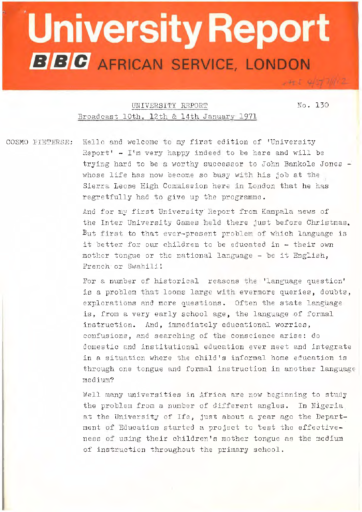## University Report **BBC** AFRICAN SERVICE, LONDON

 $-4554077002$ 

UNIVERSITY REPORT NO. 130 Broadcast 10th. 12th & 14th January 1971

COSMO PIETERSE: Hello and welcome to my first edition of 'University Report' - I'm very happy indeed to be here and will be trying hard to be a worthy successor to John Bankole Jones  $$ whose life has now become so busy with his job at the Sierra Leone High Commission here in London that he has regretfully had to give up the programme.

> And for my first University Report from Kampala news of the Inter University Games held there just before Christmas. But first to that ever-present problem of which language is it better for our children to be educated in - their own mother tongue or the national language - be it English, French or Swahili!

For a number of historical reasons the 'language question' is a problem that looms large with evermore queries, doubts, explorations and more questions. Often the state language is, from a very early school age, the language of formal instruction. And, immediately educationa1 worries, confusions, and searching of the conscience arise: do domestic 2nd institutional education ever meet and integrate in a situation where the child's informal home education is through one tongue and formal instruction in another language medium?

Well many universities in Africa are now beginning to study the problem from a number of different angles. In Nigeria. at the University of Ife, just about a year ago the Department of Education started a project to test the effectiveness of using their children's mother tongue as the medium of instruction throughout the primary school.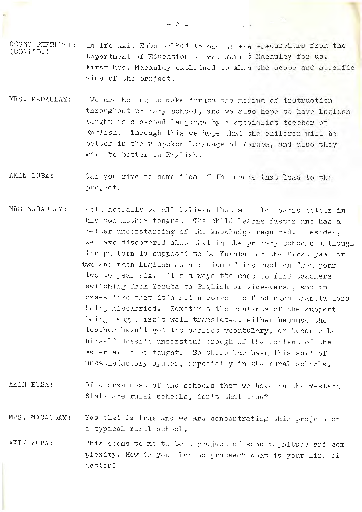- COSMO PIETERSE:  $($ CONT'D.) In Ife Akin Euba talked to one of the researchers from the Department of Education - Mrc. Juliet Macaulay for us. First Mrs. Macaulay explained to Akin the scope and specific aims of the project.
- MRS. MACAULAY: We are hoping to make Yoruba the nedium of instruction throughout primary school, and we also hope to have English taught as a second language by a specialist teacher of English. Through this we *hope* that the children will be better in their spoken language of Yoruba, and also they will be better in English.
- AKIN EUBA: Can you give me some idea of fhe needs that lead to the project?
- MRS MACAULAY: Well actually we all believe that a child learns bettor in his own mother tongue. The child learns faster and has a better understanding of the knowledge required, Besides, we have discovered also that in the primary schools although the pattern is supposed to be Yoruba for the first year or two and then English as a medium of instruction from year two to year six. It's always the case to find teachers switching from Yoruba to English or vice-versa, and in cases like that it's not uncommon to find such translations being miscarried. Sometimes the contents of the subject being taught isn't well translated, either because the teacher hasn't got the correct vocabulary, or because he himself doesn't understand enough of the content of the material to be taught. So there has been this sort of unsatisfactory system, especially in the rural schools.
- AKIN EUBA: *Of* course most of the schools that we have in the Western State are rural schools, isn't that true?
- MRS. MACAULAY: Yes that is true and we are concentrating this project on a typical rural school.
- AKIN EUBA: This seems to me to be a project of some magnitude and complexity. How do you plan to proceed? What is your line of action?

- 2: -

 $\label{eq:2.1} \frac{1}{\sqrt{2\pi}}\left(\frac{1}{\sqrt{2\pi}}\right)^{1/2}\frac{1}{\sqrt{2\pi}}\left(\frac{1}{\sqrt{2\pi}}\right)^{1/2}\frac{1}{\sqrt{2\pi}}\left(\frac{1}{\sqrt{2\pi}}\right)^{1/2}\frac{1}{\sqrt{2\pi}}\left(\frac{1}{\sqrt{2\pi}}\right)^{1/2}\frac{1}{\sqrt{2\pi}}\frac{1}{\sqrt{2\pi}}\frac{1}{\sqrt{2\pi}}\frac{1}{\sqrt{2\pi}}\frac{1}{\sqrt{2\pi}}\frac{1}{\sqrt{2\pi}}\frac{1}{\sqrt$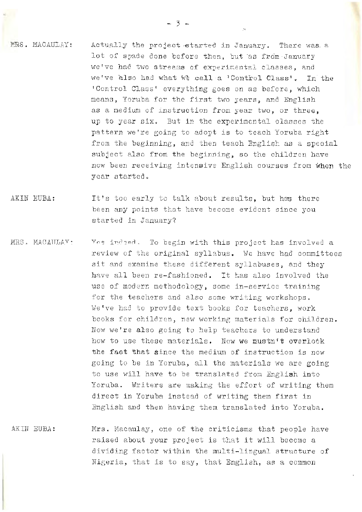MRS. MACAULAY: Actually the project started in January. There was a lot of spade done before then, but as from January we've had two streams of experimental classes, and we've also had what we call a 'Control Class'. In the 'Control Class' everything goes on as before, which means, Yoruba for the first two years, and English as a medium of instruction from year two, or three, up to year six. But in the experimental classes the pattern we're going to adopt is to teach Yoruba right from the beginning, and then teach English as a special subject also from the beginning, so the children have now been receiving intensive English courses from when the year started.

- AKIN EUBA: It's too early to talk cbout results, but has there been any points that have become evident since you started in January?
- MRS. MACAULAY: Yes indeed. To begin with this project has involved a review of the original syllabus. We have had committees sit and examine these different syllabuses, and they have all been re-fashioned. It has also involved the use of modern methodology, some in-service training for the teachers and also some writing workshops. We've had to provide text books for teachers, work books for children, new working materials for children. Now we're also going to help teachers to understand how to use these materials. Now we mustn't overlook the fact that since the medium of instruction is now going to be in Yoruba, all the materials we are going to use will have to be translated from English into Yoruba. Writers ere making the effort of writing them direct in Yoruba instead of writing them first in English and then having them translated into Yoruba.
- AKIH EUBA: Mrs. Macaulay, one of the criticisms that people have raised about your project is that it will become a dividing factor within the multi-lingual structure of Nigeria, that is to say, that English, as a common

 $-3 -$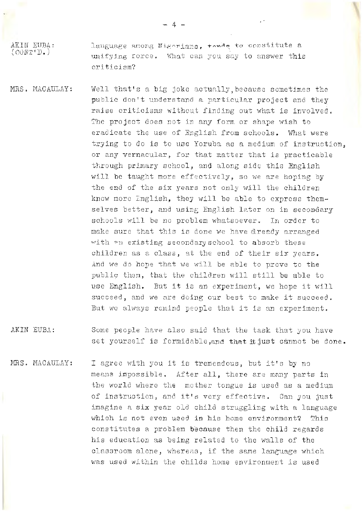AKIN EUBA:  $(0.00T<sup>T</sup>).$ lenguage among Nigorians. +...de to constitute a unifying rorce. What can you say to answer this criticism?

- MRS. MACAULAY: Well that's a big joke actually, because sometimes the public don't understand a particular project and they raise criticisms without finding out what is involved. The project does not in any form or shape wish to eradicate the use of English from schools. What were trying to do is to use Yoruba as a medium of instruction, or any vernacular, for that matter that is practicable through primary school, and along side this English will be taught more effectively, so we are hoping by the end of the six years not only will the children know more English, they will be able to express themselves better, and using English lator on in secondary schools will be no problem whatsoever. In order to make sure that this is done we have already arranged with on existing secondary school to absorb these children as a class, at the end of their six years. And we do hope that we will be able to prove to the public them, that the children will still be able to use English. But it is an experiment, we hope it will succeed, and we are doing our best to make it succeed. But we always remind people that it is an experiment.
- AKIN EUBA: Some people have also said that the task that you have set yourself is formidable, and that it just cannot be done.
- MRS. MACAULAY: I agree with you it is tremendous, but it's by no means impossible. After all, there are many parts in the world where the mother tongue is used as a medium of instruction, and it's very effective. Can you just imagine a six yenr old child struggling with a language which is not even used in his home environment? This constitutes a problem because then the child regards his education as being related to the walls of the classroom alone, whereas, if the same language which was used within the childs home environment is used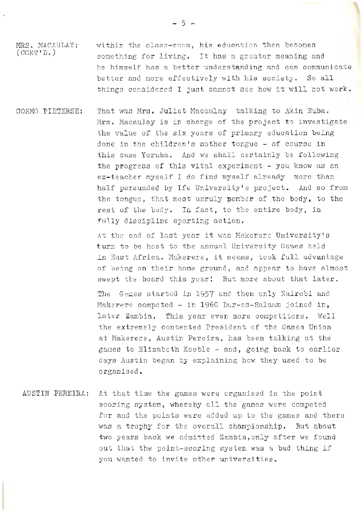MRS. MACAULAY:  $($  CONT'D.) within the class-room, his education then becomes something for living. It has a greater meaning and he himself has a better understanding and can communicate better and more effectively with his society. So all things considered I just cannot see how it will not work.

COSMO PIETERSE: That was Mrs, Juliet Macaulay talking to Akin Euba. Mrs. Macaulay is in charge of the project to investigate the value of the six years of primary education being done in the children's mother tongue - of course in this case Yoruba. And we shall certainly be following the progress of this vital experiment - you know as an ex-teacher myself I do find myself already more than half persuaded by Ife University's project. And so from the tongue, that most unruly member of the body, to the rest of the body. **In** fact, to the Gntire body, in fully discipline sporting action.

> At the end of last year it was Makerere University's turn to be host to the annual University Games held in East Africa. Makerere, it seems, took full advantage of oeing on their home ground, and appenr to have almost swept the board this year! But more about that later.

The Games started in 1957 and then only Nairobi and Makerere competed - in 1960 Dar-es-Salaam joined in, later Zambia. This year even more competitors. Well the extremely contented President of the Games Union at Makerere, Austin Pereira, has been talking at the games to Elizabeth Keeble  $-$  and, going back to earlier days Austin began by explaining hew they used to be organised.

AUSTIN PEREIRA: At that time the games were organised in the point scoring system, whereby all the games were competed for and the points were added up to the games and there was a trophy for the overall championship. But about two years back we admitted Zambia, only after we found out that the point-scoring system was a bad thing if you wanted to invite other universities.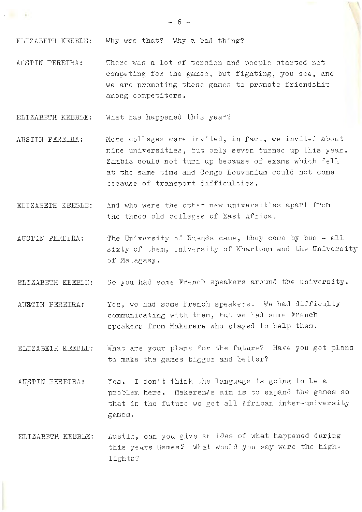$\overline{\mathcal{L}}$ 

ELIZABETH KEEBLE: Why was that? Why a bad thing?

**Contract Contract** 

AUSTIN PEREIRA: There was a lot of tension and people started not competing for the games, but fighting, you see, and we are promoting these games to promote friendship among competitors.

ELIZABETH KEEBLE: What has happened this year?

- AUSTIN PEREIRA: More colleges were invited, in fact, we invited about nine universities, but only seven turned up this year. Zambia could not turn up because of exams which fell at the same time and Congo Louvanium could not come because of transport difficulties.
- ELIZABETH KEEBLE: And who were the other new universities apart from the three old colleges of East Africa.
- AUSTIN PEREIRA: The University of Ruanda came, they came by bus  $-$  all sixty of them, University of Khartoum and the University of Malagasy.

ELIZABETH KEEBLE: So you had some French speakers around the university.

- **AUSTIN** PEREIRA: Yes, we had some French speakers. Wo had difficulty communicating with them, but we had some French speakers from Makerere who stayed to help them.
- ELIZABETH KEEBLE: What are your plans for the future? Have you got plans to make the games bigger and better?
- AUSTIN PEREIRA: Yes. I don't think the language is going to be a problem here. Makerere's aim is to expand the games so that in the future we get all African inter-university **g2..r.1e s**
- ELIZABETH KEEBLE: Austin, can you give en idea of what happened during this years Games? What would you say were the highlights?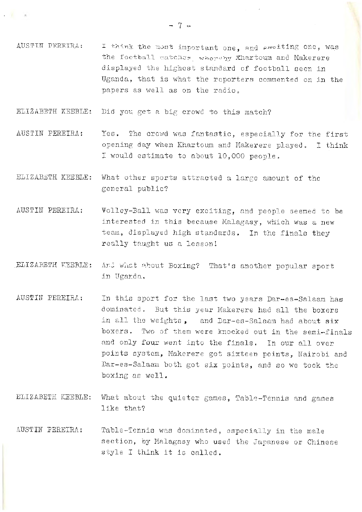ELIZABETH KEEBLE: Did you get a big crowd to this match?

 $\mathbf{r} = \mathbf{r}$  , and the set

- AUSTIN PEREIRA: Yes. The crowd was fantastic, especially for the first opening day when Khartoum and Makerere played. I think I would estimate to about 10,000 people.
- ELIZABETH KEEBLE: What other sports attracted a large amount of the general public?
- AUSTIN PEREIRA: Volley-Ball was very exciting, and people seemed to be interested in this because Malagasy, which was a new team, displayed high standards. In the finals they really taught us a lesson!
- ELIZABETH KEEBLE: And what about Boxing? That's another popular sport in Uganda.
- AUSTIN PEREIRA: In this sport for the last two years Dar-es-Salaam has dominated. But this year Makerere had all the boxers in all the weights, and Dar-es-Salaam had about six boxers. Two of them were knocked out in the semi-finals and only four went into the finals. In our all over points system, Makerere got sixteen points, Nairobi ana Dar-es-Salaam both got six points, and so we took the boxing as well.
- ELIZABETH KEEBLE: What about the quieter games, Table-Tennis and games like that?
- AUSTIN PEREIRA: Table-Tennis was dominated, especially in the male section, by Malagasy who used the Japanese or Chinese style I think it is called.